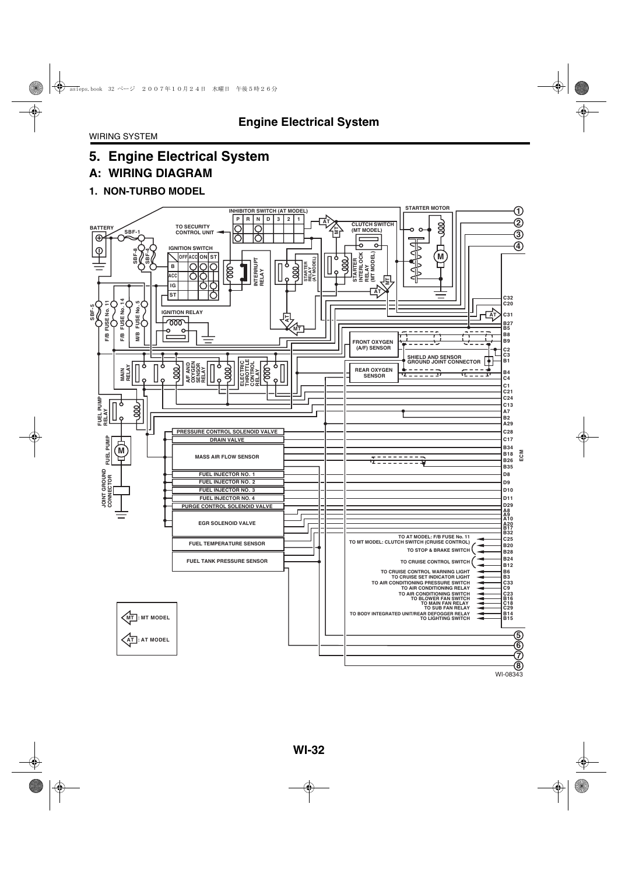## **A: WIRING DIAGRAM**

### **1. NON-TURBO MODEL**

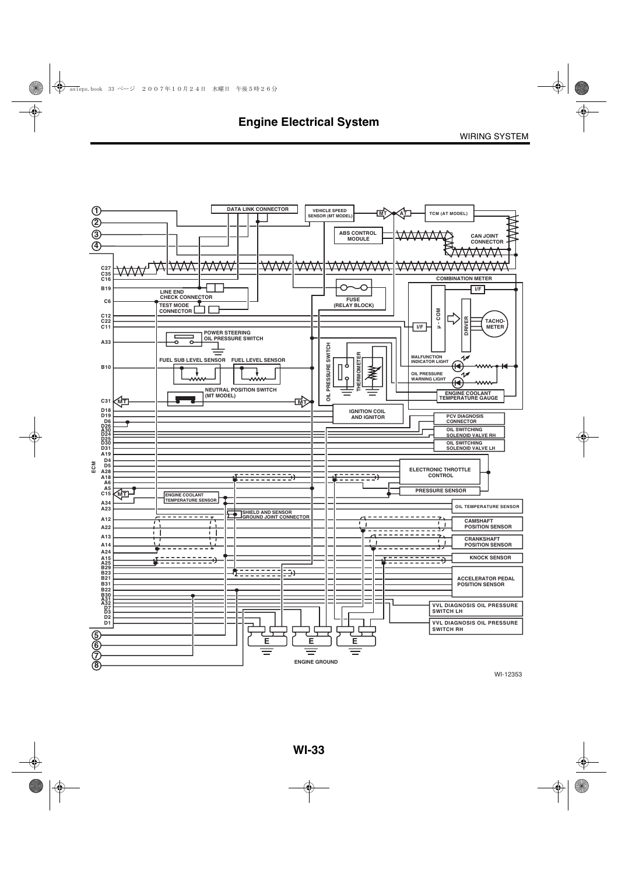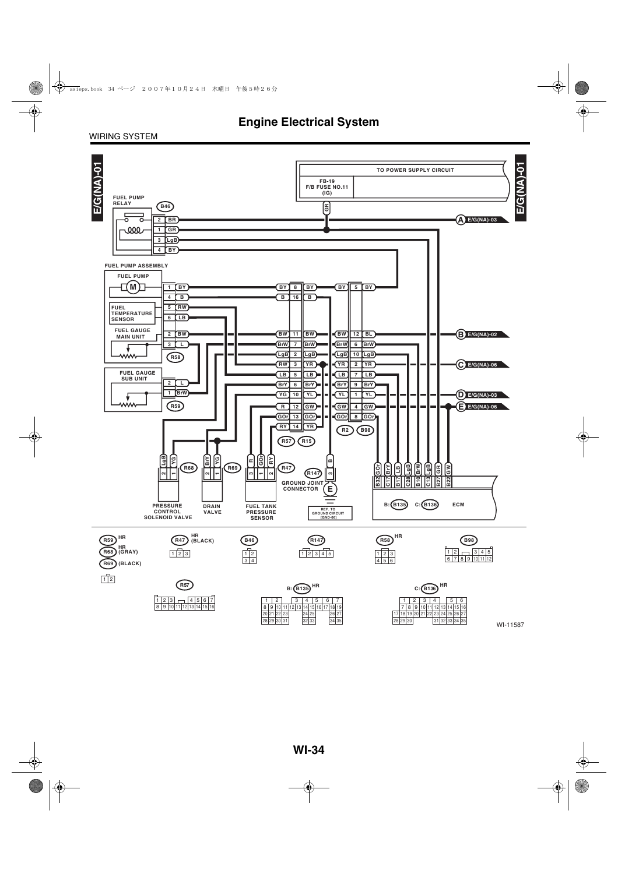#### WIRING SYSTEM

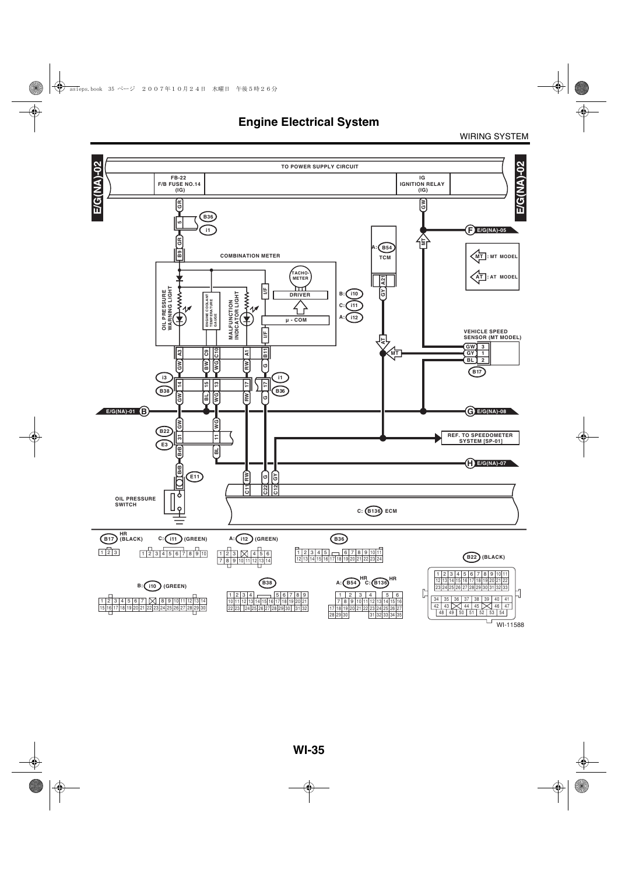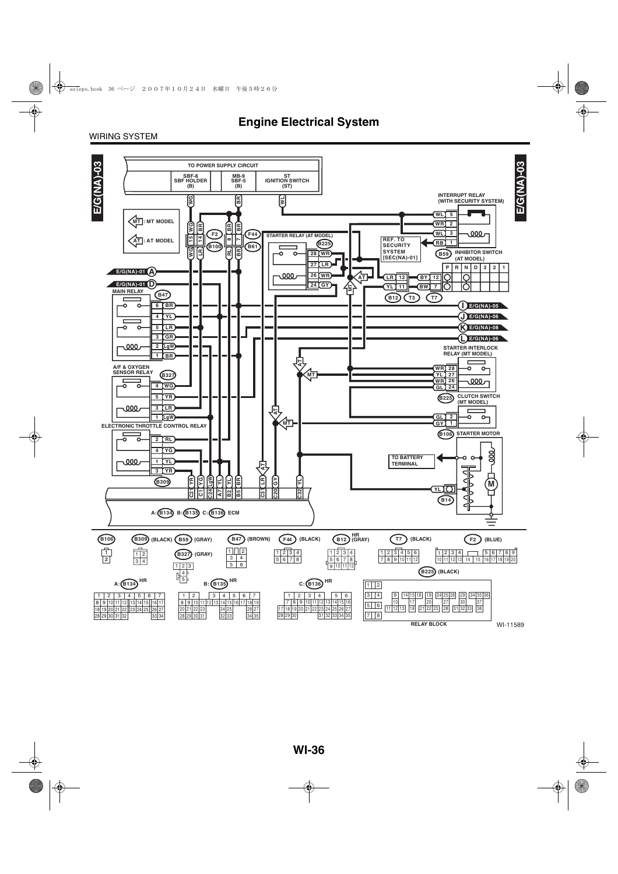#### WIRING SYSTEM

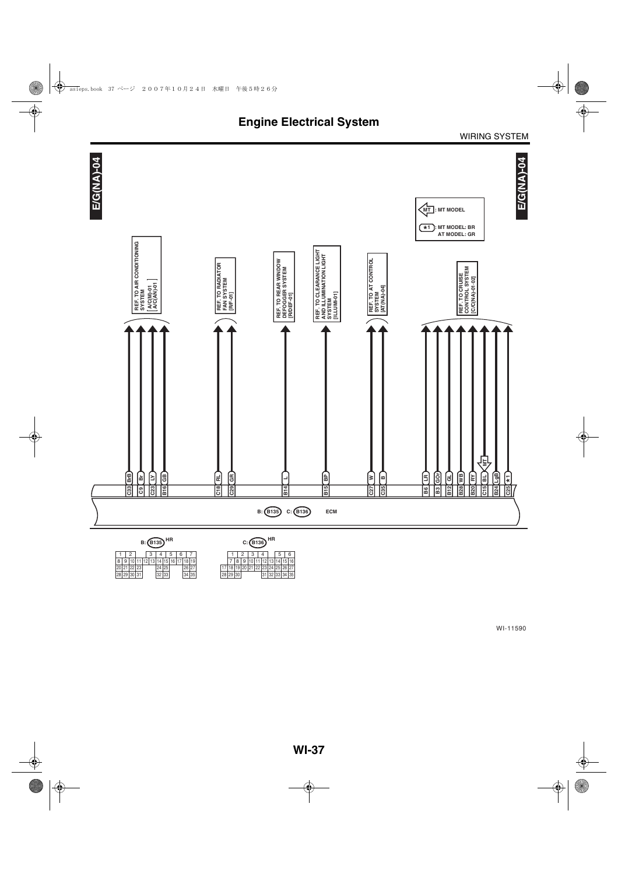

|    |             |    | <b>B:(B135)</b> |     |    |   |                |  |  |
|----|-------------|----|-----------------|-----|----|---|----------------|--|--|
|    |             |    |                 |     |    | 5 | 6              |  |  |
| 8  |             |    | 12 13           |     |    |   | 15 16 17 18 19 |  |  |
| 20 |             | 23 |                 |     |    |   |                |  |  |
|    | 28 29 30 31 |    |                 | 32. | 33 |   |                |  |  |

| нĸ<br>HR<br>C: (B136) |  |  |  |  |  |  |  |    |  |  |  |  |  |    |  |                   |  |
|-----------------------|--|--|--|--|--|--|--|----|--|--|--|--|--|----|--|-------------------|--|
|                       |  |  |  |  |  |  |  |    |  |  |  |  |  |    |  |                   |  |
|                       |  |  |  |  |  |  |  |    |  |  |  |  |  | 10 |  | 16                |  |
| 5                     |  |  |  |  |  |  |  |    |  |  |  |  |  |    |  | 22 23 24 25 26 27 |  |
| ıЗ                    |  |  |  |  |  |  |  | 20 |  |  |  |  |  |    |  | 32 33 34 35       |  |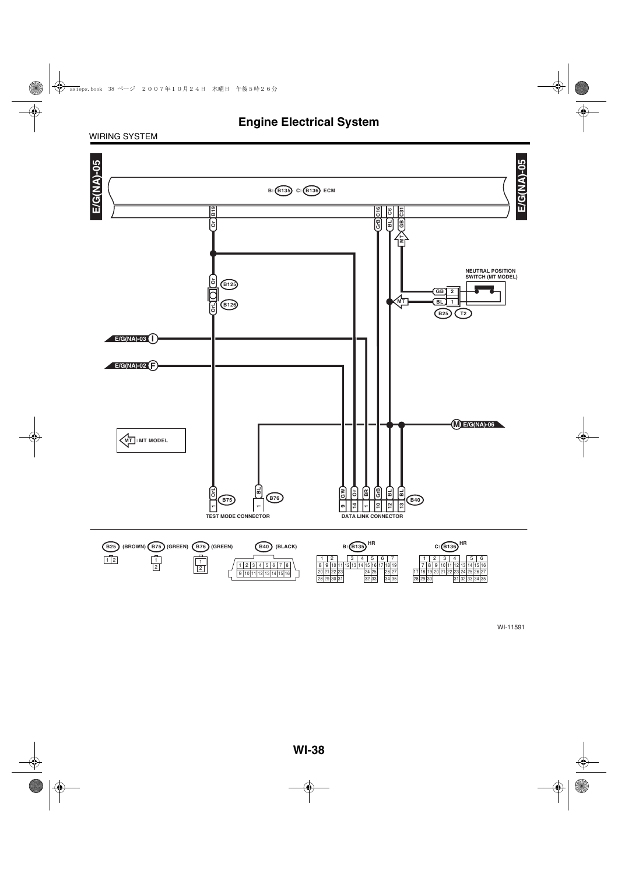#### WIRING SYSTEM

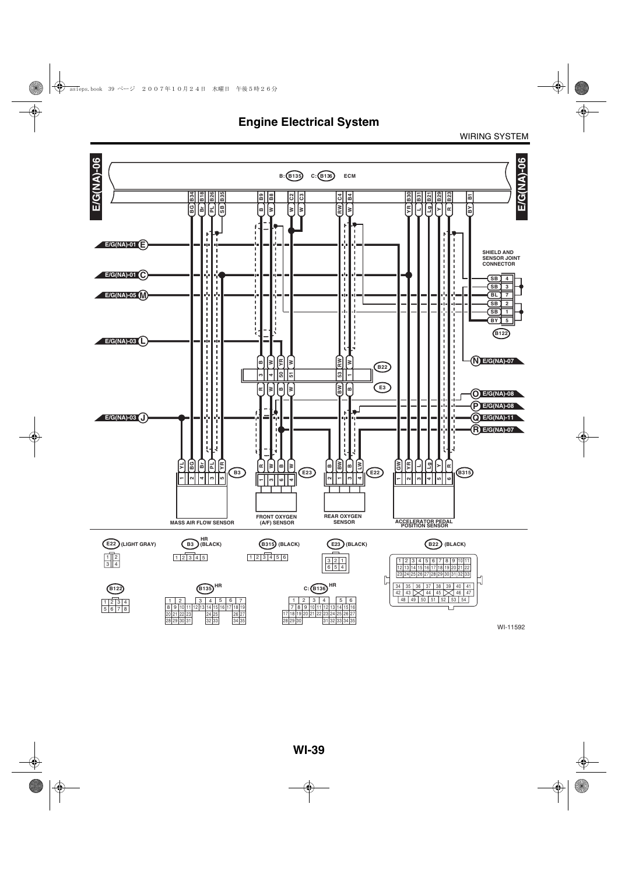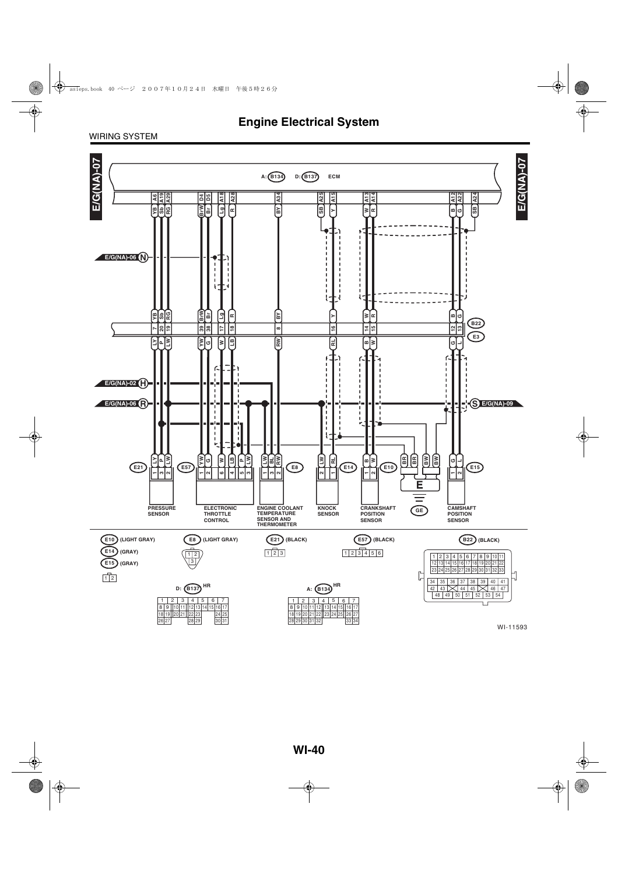#### WIRING SYSTEM

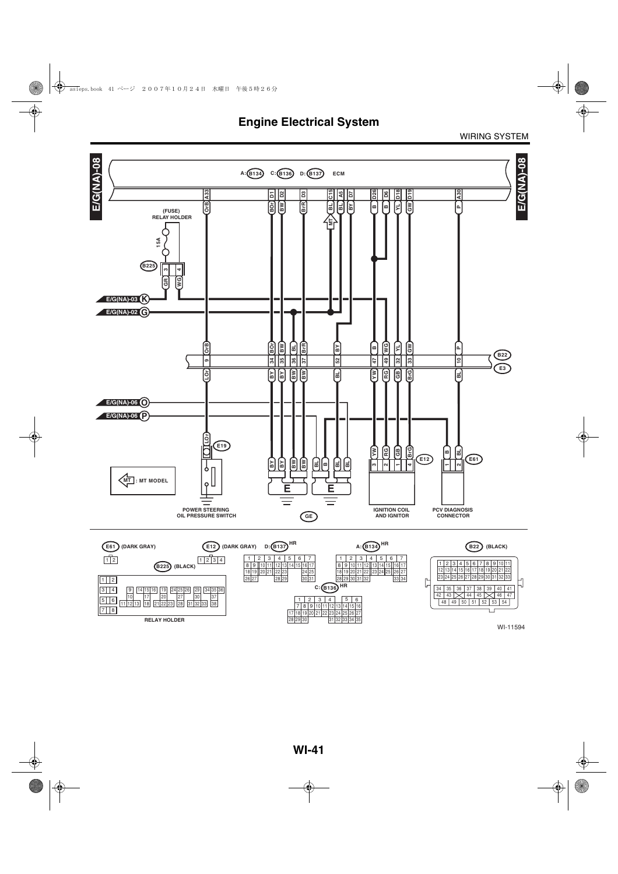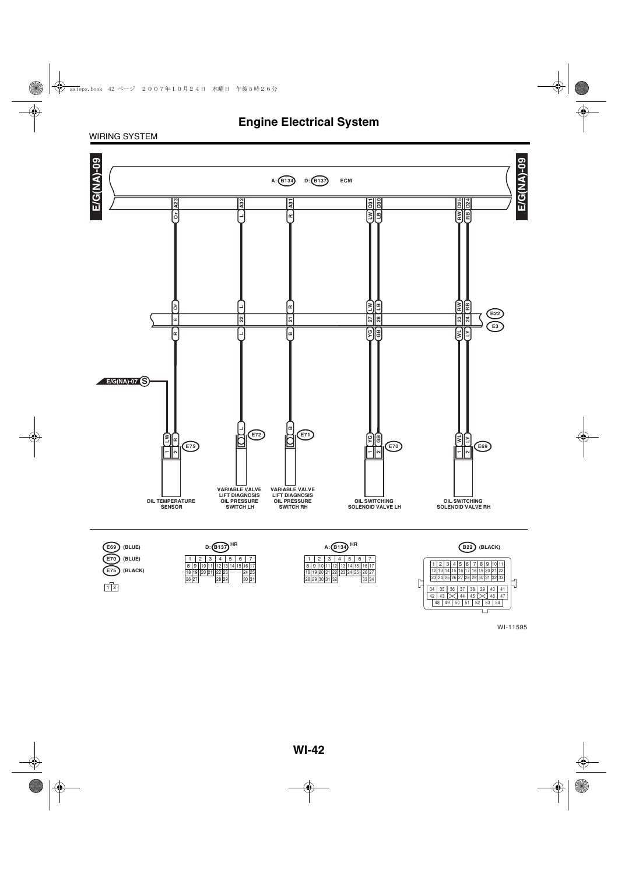#### WIRING SYSTEM



WI-11595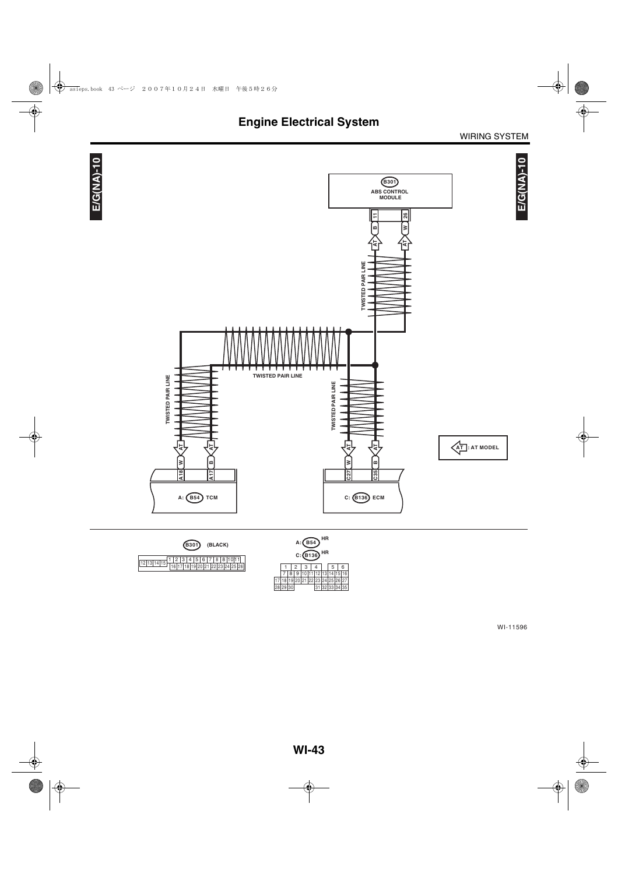

WI-11596

8 | 9 | 10 | 11 | 12 | 13 | 14 | 15 | 16<br>19 | 20 | 21 | 22 | 23 | 24 | 25 | 26 | 27<br>30 | 31 | 32 | 33 | 34 | 35 | 7 | 8 | 9 | 10 | 11 | 12 | 13<br>| 17 | 18 | 19 | 20 | 21 | 22 | 23 | 24<br>| 28 | 29 | 30 | 31 | 32

25 26 27<br>33 34 35

1 | 2 | 3 | 4 | | 5 | 6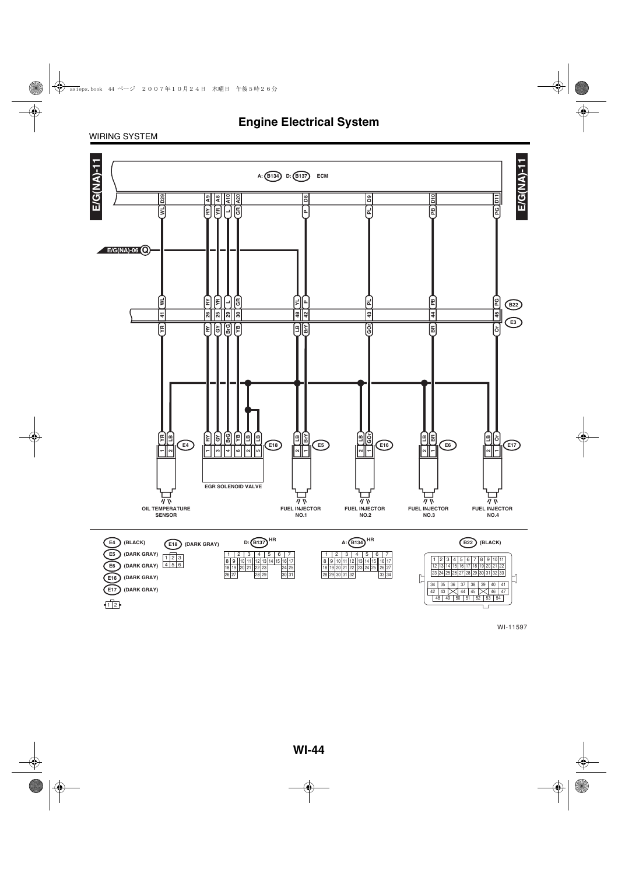#### WIRING SYSTEM

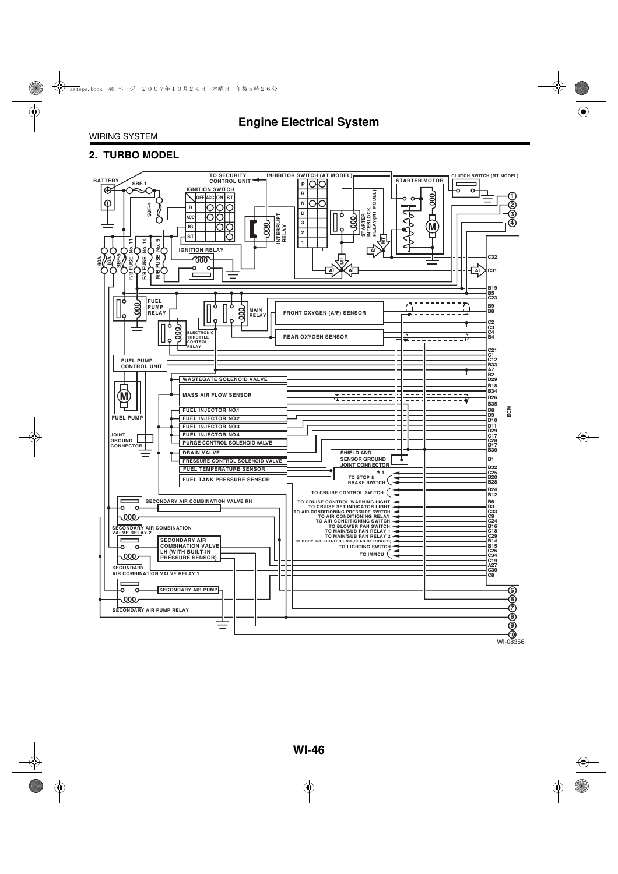#### **2. TURBO MODEL**

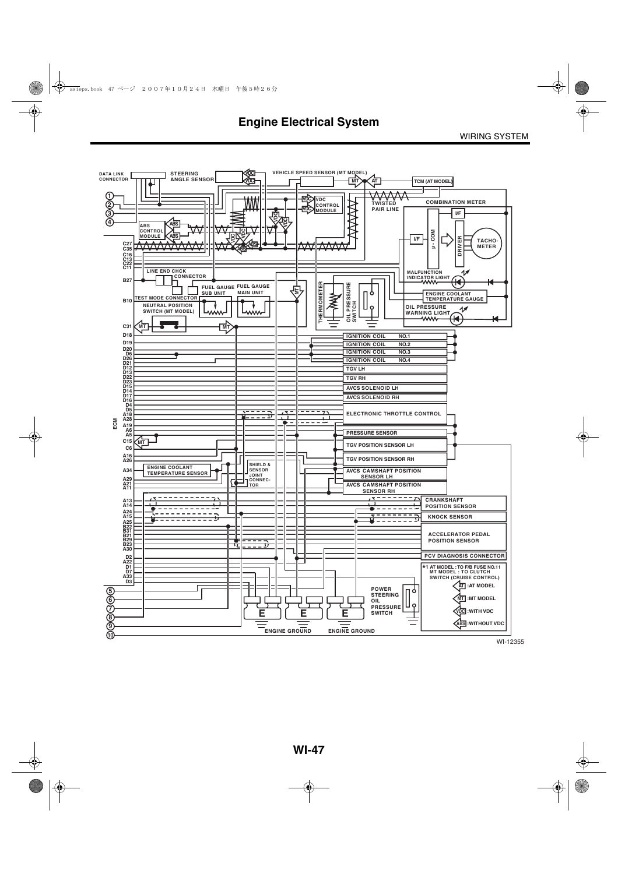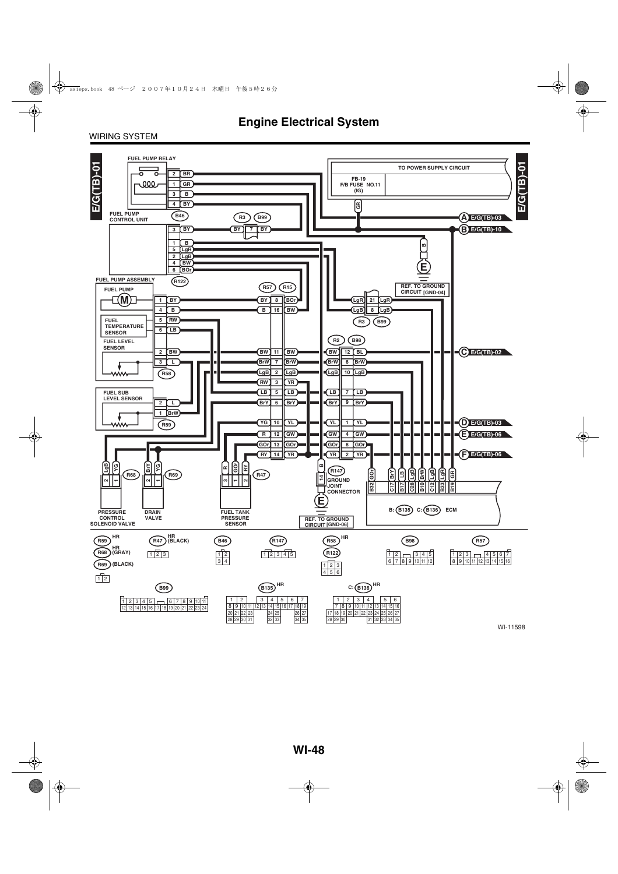#### WIRING SYSTEM

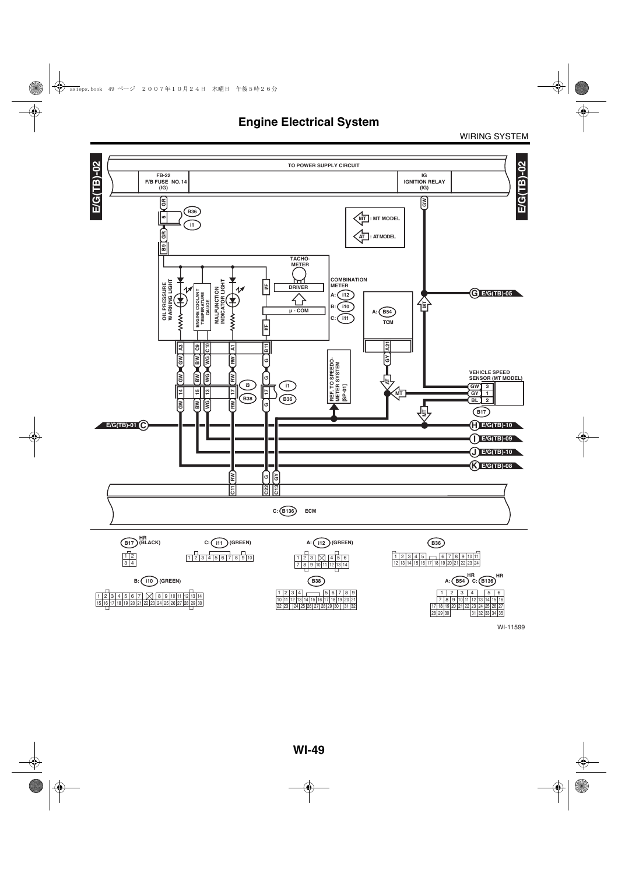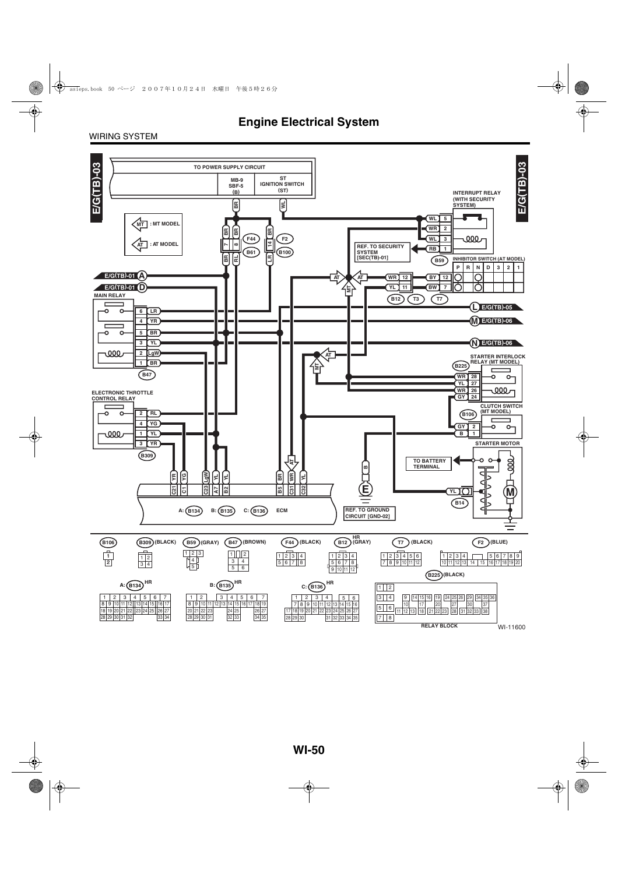#### WIRING SYSTEM

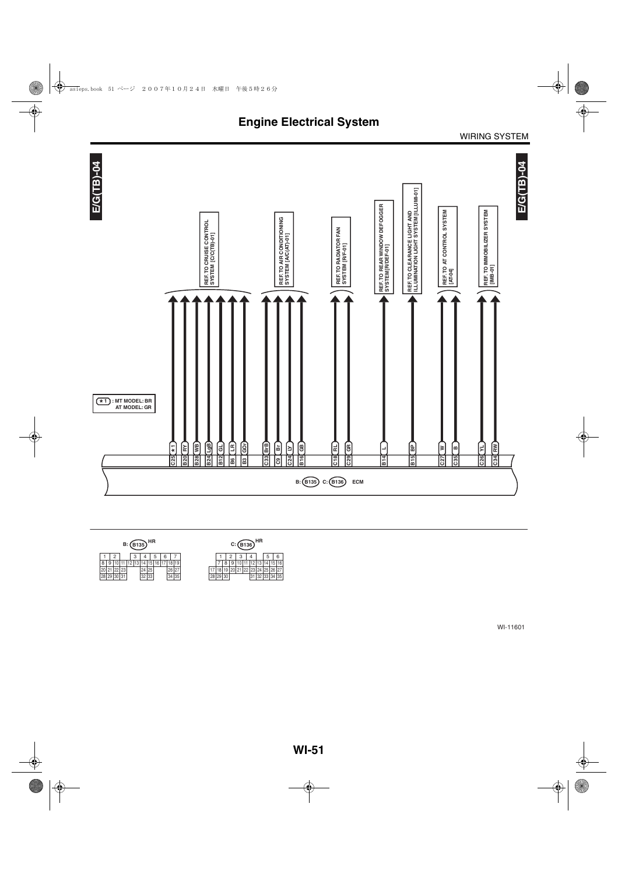



| $B:$ $(B135)$ <sup>HR</sup> |  |  |    |  |   |    |               |  |   |    |    | $C:$ $(B136)$ <sup>HR</sup> |          |  |    |      |   |     |
|-----------------------------|--|--|----|--|---|----|---------------|--|---|----|----|-----------------------------|----------|--|----|------|---|-----|
|                             |  |  |    |  | 3 |    |               |  | o |    |    |                             |          |  |    |      | 5 | 6   |
| 8                           |  |  |    |  |   |    |               |  |   |    |    |                             |          |  |    |      |   | 6   |
|                             |  |  | 23 |  |   | 24 | 25            |  |   | 20 |    |                             |          |  | 22 |      |   |     |
| 28                          |  |  |    |  |   | 32 | $\cap$<br>100 |  |   | 34 | 35 |                             | 28 29 30 |  |    | ےں ا |   | 135 |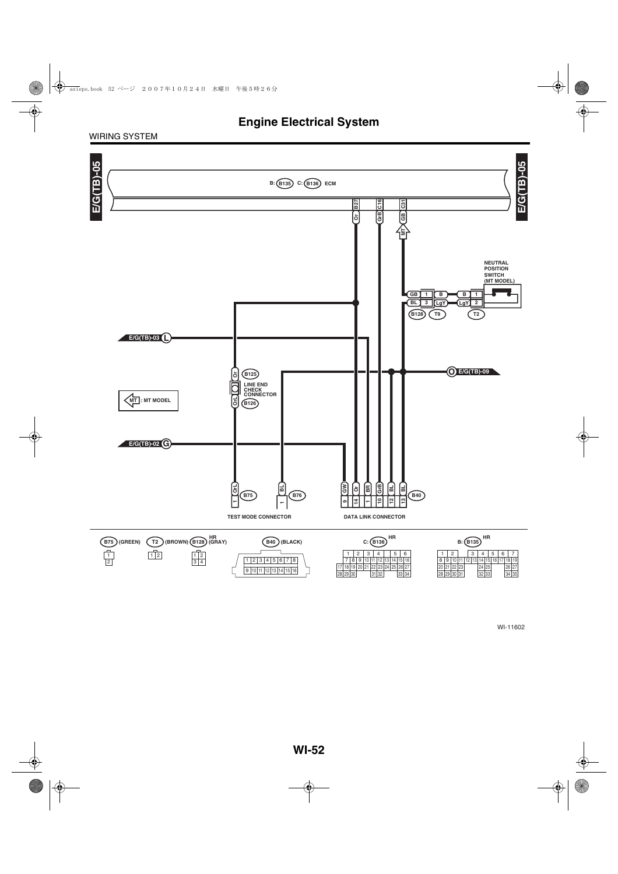#### WIRING SYSTEM

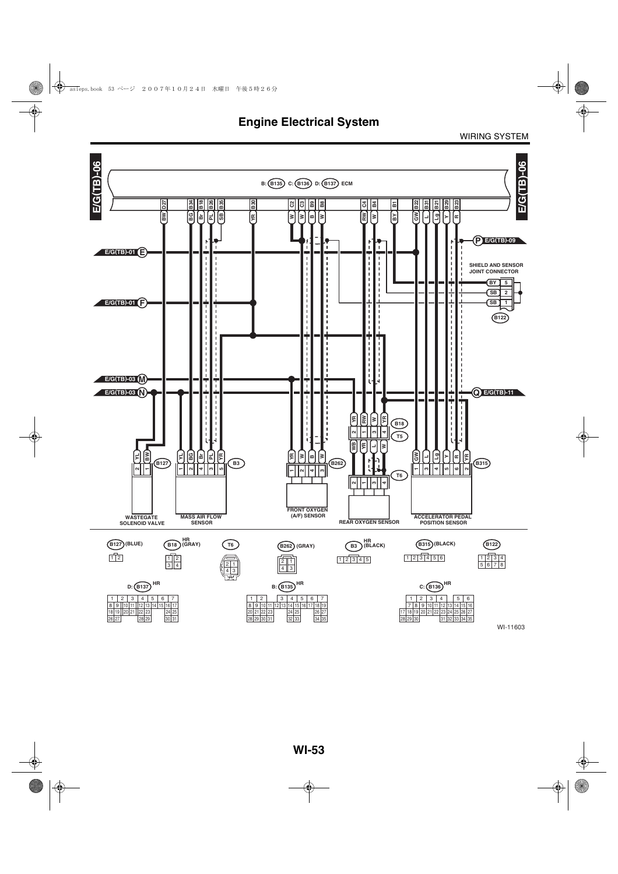**Engine Electrical System**

WIRING SYSTEM

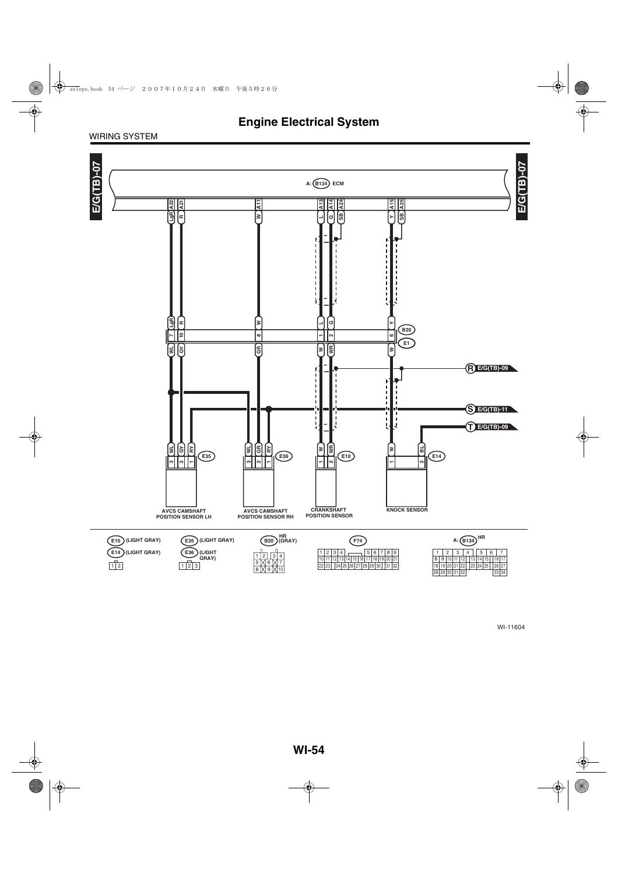#### WIRING SYSTEM

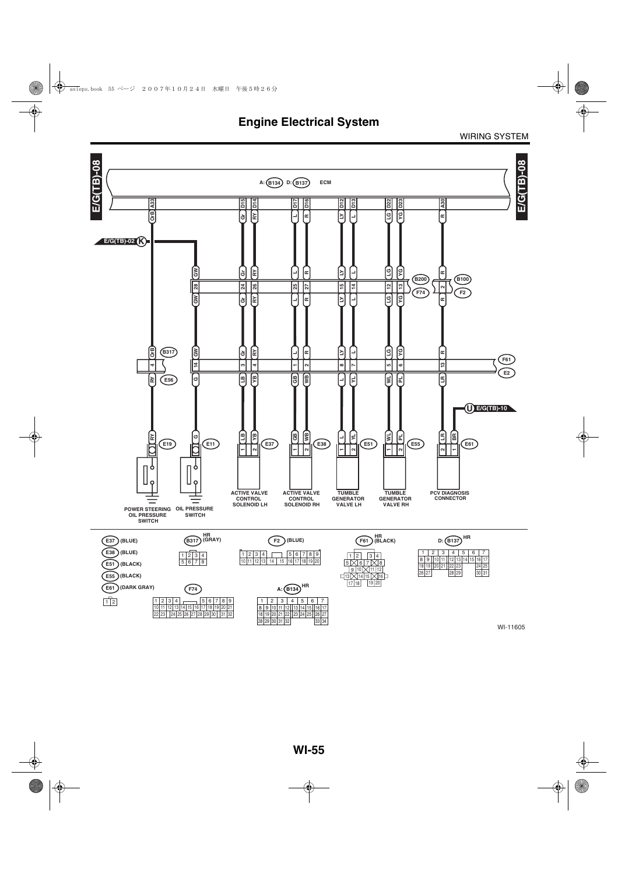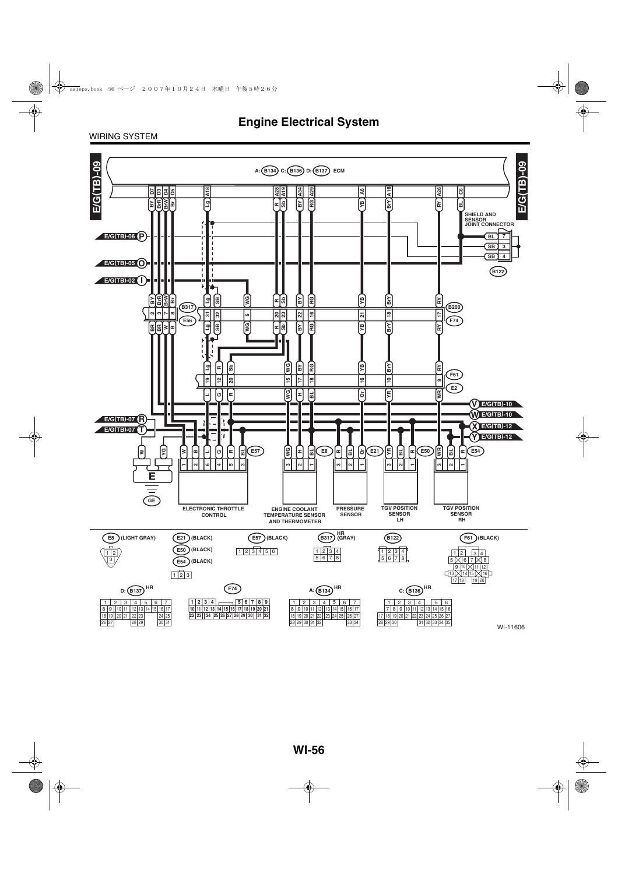#### WIRING SYSTEM

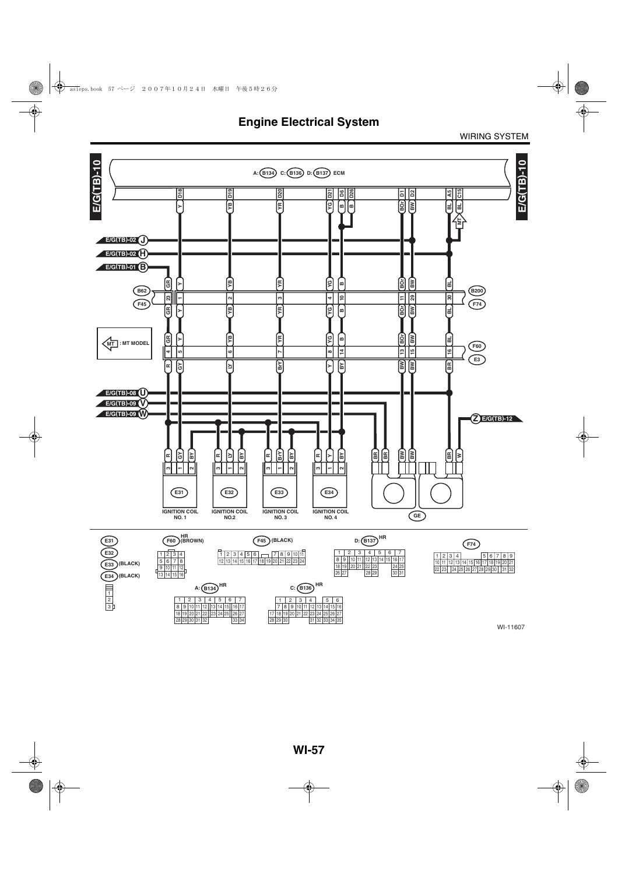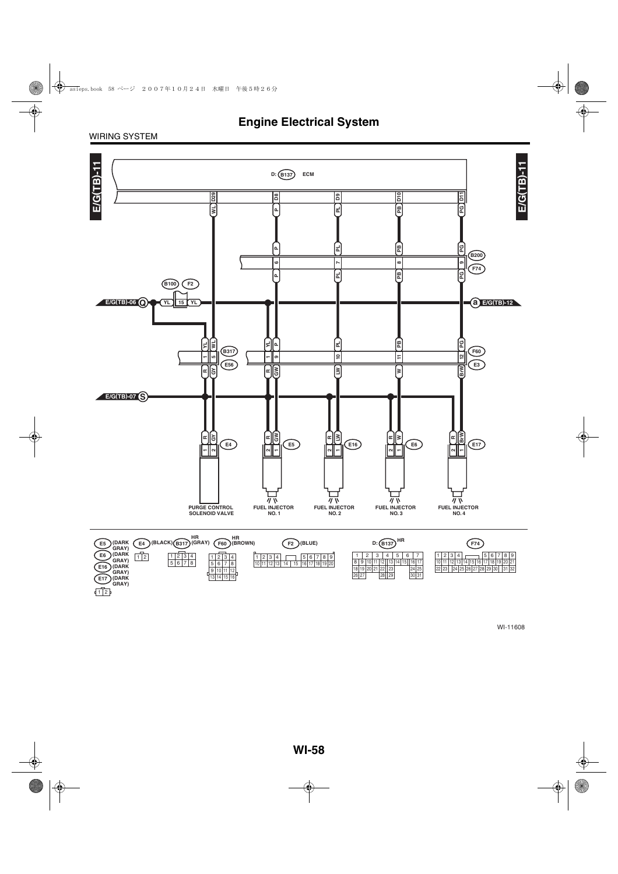WIRING SYSTEM

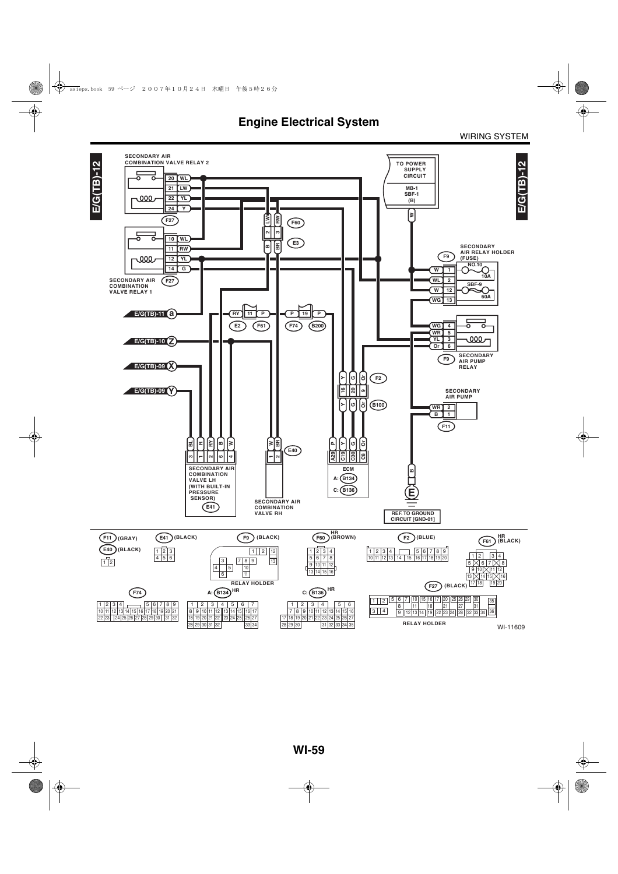